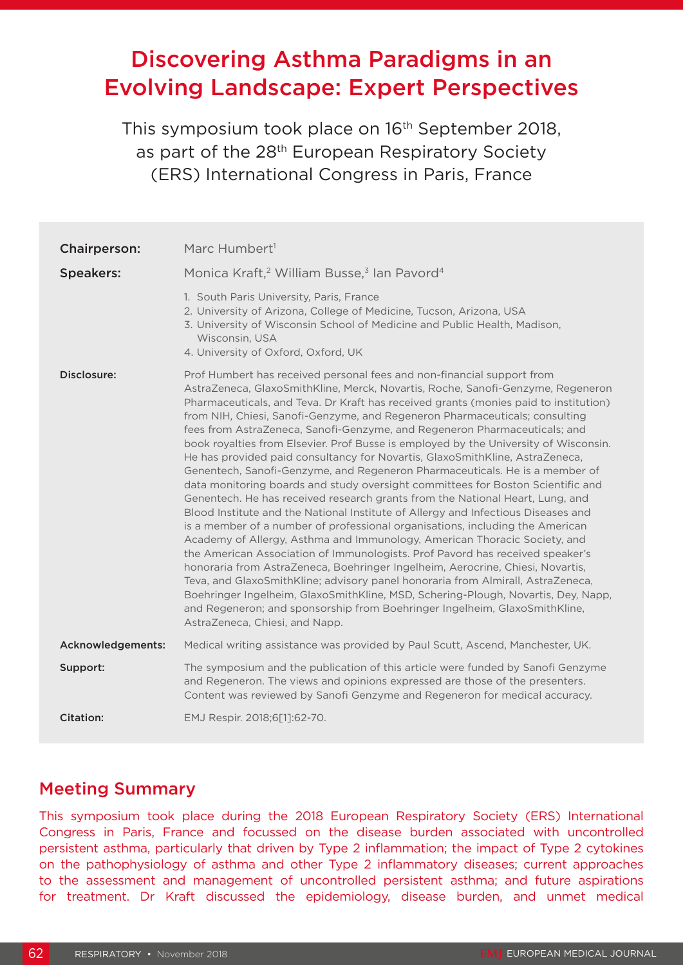# Discovering Asthma Paradigms in an Evolving Landscape: Expert Perspectives

This symposium took place on 16<sup>th</sup> September 2018, as part of the 28<sup>th</sup> European Respiratory Society (ERS) International Congress in Paris, France

| <b>Chairperson:</b> | Marc Humbert <sup>1</sup>                                                                                                                                                                                                                                                                                                                                                                                                                                                                                                                                                                                                                                                                                                                                                                                                                                                                                                                                                                                                                                                                                                                                                                                                                                                                                                                                                                                                                                                                                                                              |
|---------------------|--------------------------------------------------------------------------------------------------------------------------------------------------------------------------------------------------------------------------------------------------------------------------------------------------------------------------------------------------------------------------------------------------------------------------------------------------------------------------------------------------------------------------------------------------------------------------------------------------------------------------------------------------------------------------------------------------------------------------------------------------------------------------------------------------------------------------------------------------------------------------------------------------------------------------------------------------------------------------------------------------------------------------------------------------------------------------------------------------------------------------------------------------------------------------------------------------------------------------------------------------------------------------------------------------------------------------------------------------------------------------------------------------------------------------------------------------------------------------------------------------------------------------------------------------------|
| <b>Speakers:</b>    | Monica Kraft, <sup>2</sup> William Busse, <sup>3</sup> Ian Pavord <sup>4</sup>                                                                                                                                                                                                                                                                                                                                                                                                                                                                                                                                                                                                                                                                                                                                                                                                                                                                                                                                                                                                                                                                                                                                                                                                                                                                                                                                                                                                                                                                         |
|                     | 1. South Paris University, Paris, France<br>2. University of Arizona, College of Medicine, Tucson, Arizona, USA<br>3. University of Wisconsin School of Medicine and Public Health, Madison,<br>Wisconsin, USA<br>4. University of Oxford, Oxford, UK                                                                                                                                                                                                                                                                                                                                                                                                                                                                                                                                                                                                                                                                                                                                                                                                                                                                                                                                                                                                                                                                                                                                                                                                                                                                                                  |
| Disclosure:         | Prof Humbert has received personal fees and non-financial support from<br>AstraZeneca, GlaxoSmithKline, Merck, Novartis, Roche, Sanofi-Genzyme, Regeneron<br>Pharmaceuticals, and Teva. Dr Kraft has received grants (monies paid to institution)<br>from NIH, Chiesi, Sanofi-Genzyme, and Regeneron Pharmaceuticals; consulting<br>fees from AstraZeneca, Sanofi-Genzyme, and Regeneron Pharmaceuticals; and<br>book royalties from Elsevier. Prof Busse is employed by the University of Wisconsin.<br>He has provided paid consultancy for Novartis, GlaxoSmithKline, AstraZeneca,<br>Genentech, Sanofi-Genzyme, and Regeneron Pharmaceuticals. He is a member of<br>data monitoring boards and study oversight committees for Boston Scientific and<br>Genentech. He has received research grants from the National Heart, Lung, and<br>Blood Institute and the National Institute of Allergy and Infectious Diseases and<br>is a member of a number of professional organisations, including the American<br>Academy of Allergy, Asthma and Immunology, American Thoracic Society, and<br>the American Association of Immunologists. Prof Pavord has received speaker's<br>honoraria from AstraZeneca, Boehringer Ingelheim, Aerocrine, Chiesi, Novartis,<br>Teva, and GlaxoSmithKline; advisory panel honoraria from Almirall, AstraZeneca,<br>Boehringer Ingelheim, GlaxoSmithKline, MSD, Schering-Plough, Novartis, Dey, Napp,<br>and Regeneron; and sponsorship from Boehringer Ingelheim, GlaxoSmithKline,<br>AstraZeneca, Chiesi, and Napp. |
| Acknowledgements:   | Medical writing assistance was provided by Paul Scutt, Ascend, Manchester, UK.                                                                                                                                                                                                                                                                                                                                                                                                                                                                                                                                                                                                                                                                                                                                                                                                                                                                                                                                                                                                                                                                                                                                                                                                                                                                                                                                                                                                                                                                         |
| Support:            | The symposium and the publication of this article were funded by Sanofi Genzyme<br>and Regeneron. The views and opinions expressed are those of the presenters.<br>Content was reviewed by Sanofi Genzyme and Regeneron for medical accuracy.                                                                                                                                                                                                                                                                                                                                                                                                                                                                                                                                                                                                                                                                                                                                                                                                                                                                                                                                                                                                                                                                                                                                                                                                                                                                                                          |
| Citation:           | EMJ Respir. 2018;6[1]:62-70.                                                                                                                                                                                                                                                                                                                                                                                                                                                                                                                                                                                                                                                                                                                                                                                                                                                                                                                                                                                                                                                                                                                                                                                                                                                                                                                                                                                                                                                                                                                           |

### Meeting Summary

This symposium took place during the 2018 European Respiratory Society (ERS) International Congress in Paris, France and focussed on the disease burden associated with uncontrolled persistent asthma, particularly that driven by Type 2 inflammation; the impact of Type 2 cytokines on the pathophysiology of asthma and other Type 2 inflammatory diseases; current approaches to the assessment and management of uncontrolled persistent asthma; and future aspirations for treatment. Dr Kraft discussed the epidemiology, disease burden, and unmet medical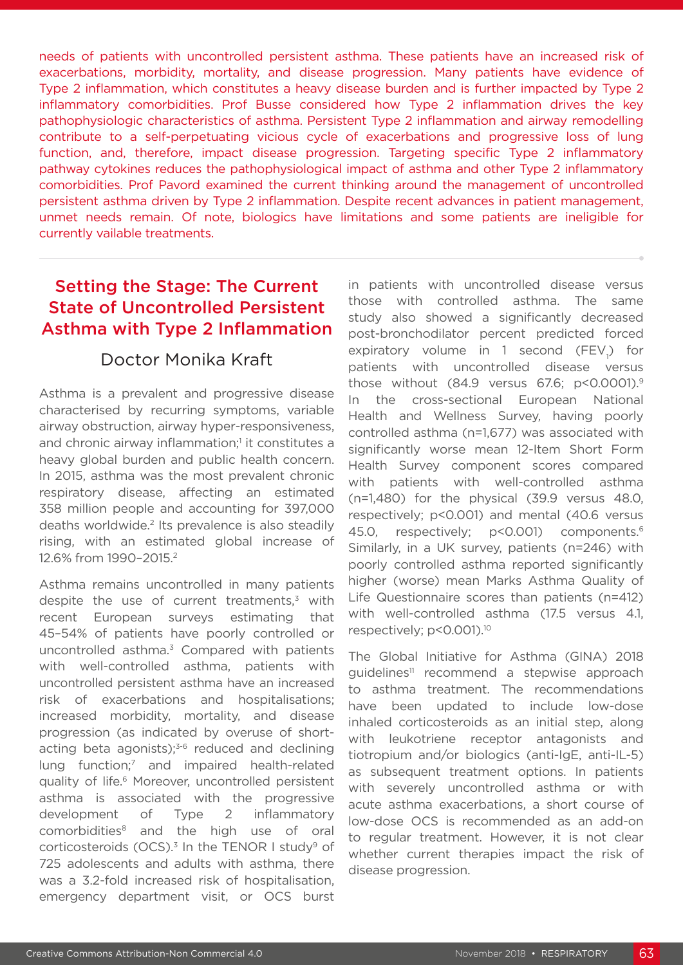needs of patients with uncontrolled persistent asthma. These patients have an increased risk of exacerbations, morbidity, mortality, and disease progression. Many patients have evidence of Type 2 inflammation, which constitutes a heavy disease burden and is further impacted by Type 2 inflammatory comorbidities. Prof Busse considered how Type 2 inflammation drives the key pathophysiologic characteristics of asthma. Persistent Type 2 inflammation and airway remodelling contribute to a self-perpetuating vicious cycle of exacerbations and progressive loss of lung function, and, therefore, impact disease progression. Targeting specific Type 2 inflammatory pathway cytokines reduces the pathophysiological impact of asthma and other Type 2 inflammatory comorbidities. Prof Pavord examined the current thinking around the management of uncontrolled persistent asthma driven by Type 2 inflammation. Despite recent advances in patient management, unmet needs remain. Of note, biologics have limitations and some patients are ineligible for currently vailable treatments.

# Setting the Stage: The Current State of Uncontrolled Persistent Asthma with Type 2 Inflammation

### Doctor Monika Kraft

Asthma is a prevalent and progressive disease characterised by recurring symptoms, variable airway obstruction, airway hyper-responsiveness, and chronic airway inflammation;<sup>1</sup> it constitutes a heavy global burden and public health concern. In 2015, asthma was the most prevalent chronic respiratory disease, affecting an estimated 358 million people and accounting for 397,000 deaths worldwide.<sup>2</sup> Its prevalence is also steadily rising, with an estimated global increase of 12.6% from 1990–2015.2

Asthma remains uncontrolled in many patients despite the use of current treatments, $3$  with recent European surveys estimating that 45–54% of patients have poorly controlled or uncontrolled asthma.3 Compared with patients with well-controlled asthma, patients with uncontrolled persistent asthma have an increased risk of exacerbations and hospitalisations; increased morbidity, mortality, and disease progression (as indicated by overuse of shortacting beta agonists); $3-6$  reduced and declining lung function;<sup>7</sup> and impaired health-related quality of life.6 Moreover, uncontrolled persistent asthma is associated with the progressive development of Type 2 inflammatory comorbidities8 and the high use of oral corticosteroids (OCS). $3$  In the TENOR I study<sup>9</sup> of 725 adolescents and adults with asthma, there was a 3.2-fold increased risk of hospitalisation, emergency department visit, or OCS burst

in patients with uncontrolled disease versus those with controlled asthma. The same study also showed a significantly decreased post-bronchodilator percent predicted forced expiratory volume in 1 second  $(FEV_{1})$  for patients with uncontrolled disease versus those without (84.9 versus 67.6; p<0.0001).9 In the cross-sectional European National Health and Wellness Survey, having poorly controlled asthma (n=1,677) was associated with significantly worse mean 12-Item Short Form Health Survey component scores compared with patients with well-controlled asthma (n=1,480) for the physical (39.9 versus 48.0, respectively; p<0.001) and mental (40.6 versus 45.0, respectively; p<0.001) components.<sup>6</sup> Similarly, in a UK survey, patients (n=246) with poorly controlled asthma reported significantly higher (worse) mean Marks Asthma Quality of Life Questionnaire scores than patients (n=412) with well-controlled asthma (17.5 versus 4.1, respectively; p<0.001).<sup>10</sup>

The Global Initiative for Asthma (GINA) 2018 guidelines<sup>11</sup> recommend a stepwise approach to asthma treatment. The recommendations have been updated to include low-dose inhaled corticosteroids as an initial step, along with leukotriene receptor antagonists and tiotropium and/or biologics (anti-IgE, anti-IL-5) as subsequent treatment options. In patients with severely uncontrolled asthma or with acute asthma exacerbations, a short course of low-dose OCS is recommended as an add-on to regular treatment. However, it is not clear whether current therapies impact the risk of disease progression.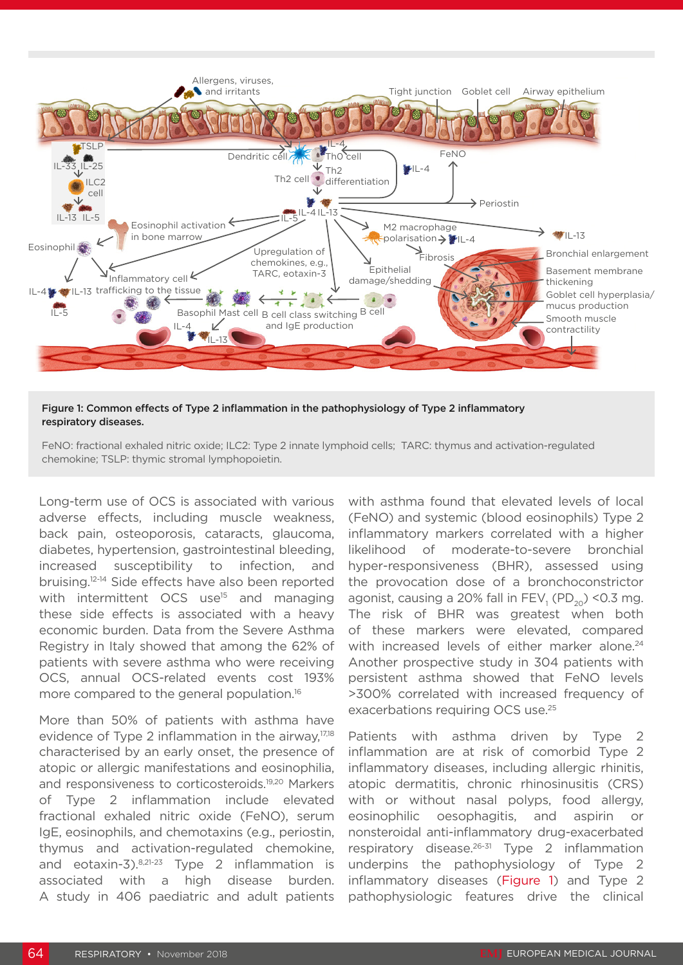

### Figure 1: Common effects of Type 2 inflammation in the pathophysiology of Type 2 inflammatory respiratory diseases.

FeNO: fractional exhaled nitric oxide; ILC2: Type 2 innate lymphoid cells; TARC: thymus and activation-regulated chemokine; TSLP: thymic stromal lymphopoietin.

Long-term use of OCS is associated with various adverse effects, including muscle weakness, back pain, osteoporosis, cataracts, glaucoma, diabetes, hypertension, gastrointestinal bleeding, increased susceptibility to infection, and bruising.12-14 Side effects have also been reported with intermittent OCS use<sup>15</sup> and managing these side effects is associated with a heavy economic burden. Data from the Severe Asthma Registry in Italy showed that among the 62% of patients with severe asthma who were receiving OCS, annual OCS-related events cost 193% more compared to the general population.<sup>16</sup>

More than 50% of patients with asthma have evidence of Type 2 inflammation in the airway,17,18 characterised by an early onset, the presence of atopic or allergic manifestations and eosinophilia, and responsiveness to corticosteroids.19,20 Markers of Type 2 inflammation include elevated fractional exhaled nitric oxide (FeNO), serum IgE, eosinophils, and chemotaxins (e.g., periostin, thymus and activation-regulated chemokine, and eotaxin-3).8,21-23 Type 2 inflammation is associated with a high disease burden. A study in 406 paediatric and adult patients

with asthma found that elevated levels of local (FeNO) and systemic (blood eosinophils) Type 2 inflammatory markers correlated with a higher likelihood of moderate-to-severe bronchial hyper-responsiveness (BHR), assessed using the provocation dose of a bronchoconstrictor agonist, causing a 20% fall in  $\mathsf{FEV}_{1}^{}$  (PD $_{20}^{}$ ) <0.3 mg. The risk of BHR was greatest when both of these markers were elevated, compared with increased levels of either marker alone.<sup>24</sup> Another prospective study in 304 patients with persistent asthma showed that FeNO levels >300% correlated with increased frequency of exacerbations requiring OCS use.25

Patients with asthma driven by Type 2 inflammation are at risk of comorbid Type 2 inflammatory diseases, including allergic rhinitis, atopic dermatitis, chronic rhinosinusitis (CRS) with or without nasal polyps, food allergy, eosinophilic oesophagitis, and aspirin or nonsteroidal anti-inflammatory drug-exacerbated respiratory disease.<sup>26-31</sup> Type 2 inflammation underpins the pathophysiology of Type 2 inflammatory diseases (Figure 1) and Type 2 pathophysiologic features drive the clinical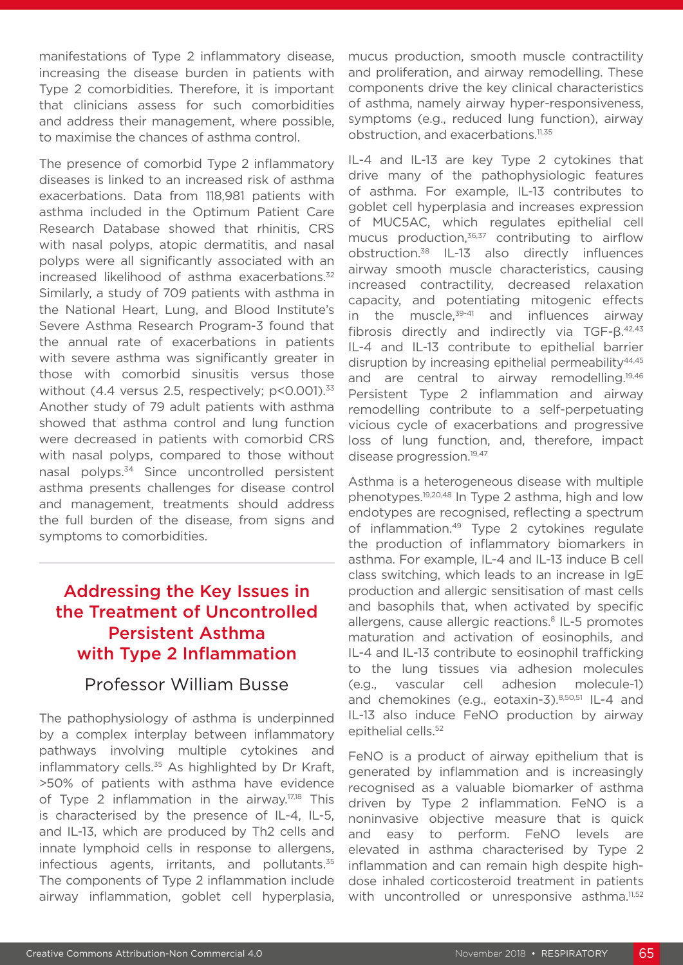manifestations of Type 2 inflammatory disease, increasing the disease burden in patients with Type 2 comorbidities. Therefore, it is important that clinicians assess for such comorbidities and address their management, where possible, to maximise the chances of asthma control.

The presence of comorbid Type 2 inflammatory diseases is linked to an increased risk of asthma exacerbations. Data from 118,981 patients with asthma included in the Optimum Patient Care Research Database showed that rhinitis, CRS with nasal polyps, atopic dermatitis, and nasal polyps were all significantly associated with an increased likelihood of asthma exacerbations.<sup>32</sup> Similarly, a study of 709 patients with asthma in the National Heart, Lung, and Blood Institute's Severe Asthma Research Program-3 found that the annual rate of exacerbations in patients with severe asthma was significantly greater in those with comorbid sinusitis versus those without (4.4 versus 2.5, respectively; p<0.001).<sup>33</sup> Another study of 79 adult patients with asthma showed that asthma control and lung function were decreased in patients with comorbid CRS with nasal polyps, compared to those without nasal polyps.34 Since uncontrolled persistent asthma presents challenges for disease control and management, treatments should address the full burden of the disease, from signs and symptoms to comorbidities.

# Addressing the Key Issues in the Treatment of Uncontrolled Persistent Asthma with Type 2 Inflammation

### Professor William Busse

The pathophysiology of asthma is underpinned by a complex interplay between inflammatory pathways involving multiple cytokines and inflammatory cells.<sup>35</sup> As highlighted by Dr Kraft, >50% of patients with asthma have evidence of Type 2 inflammation in the airway.<sup>17,18</sup> This is characterised by the presence of IL-4, IL-5, and IL-13, which are produced by Th2 cells and innate lymphoid cells in response to allergens, infectious agents, irritants, and pollutants. $35$ The components of Type 2 inflammation include airway inflammation, goblet cell hyperplasia, mucus production, smooth muscle contractility and proliferation, and airway remodelling. These components drive the key clinical characteristics of asthma, namely airway hyper-responsiveness, symptoms (e.g., reduced lung function), airway obstruction, and exacerbations.11,35

IL-4 and IL-13 are key Type 2 cytokines that drive many of the pathophysiologic features of asthma. For example, IL-13 contributes to goblet cell hyperplasia and increases expression of MUC5AC, which regulates epithelial cell mucus production,<sup>36,37</sup> contributing to airflow obstruction.38 IL-13 also directly influences airway smooth muscle characteristics, causing increased contractility, decreased relaxation capacity, and potentiating mitogenic effects in the muscle, $39-41$  and influences airway fibrosis directly and indirectly via TGF-β.42,43 IL-4 and IL-13 contribute to epithelial barrier disruption by increasing epithelial permeability<sup>44,45</sup> and are central to airway remodelling.<sup>19,46</sup> Persistent Type 2 inflammation and airway remodelling contribute to a self-perpetuating vicious cycle of exacerbations and progressive loss of lung function, and, therefore, impact disease progression.<sup>19,47</sup>

Asthma is a heterogeneous disease with multiple phenotypes.19,20,48 In Type 2 asthma, high and low endotypes are recognised, reflecting a spectrum of inflammation.<sup>49</sup> Type 2 cytokines regulate the production of inflammatory biomarkers in asthma. For example, IL-4 and IL-13 induce B cell class switching, which leads to an increase in IgE production and allergic sensitisation of mast cells and basophils that, when activated by specific allergens, cause allergic reactions.<sup>8</sup> IL-5 promotes maturation and activation of eosinophils, and IL-4 and IL-13 contribute to eosinophil trafficking to the lung tissues via adhesion molecules (e.g., vascular cell adhesion molecule-1) and chemokines (e.g., eotaxin-3).8,50,51 IL-4 and IL-13 also induce FeNO production by airway epithelial cells.<sup>52</sup>

FeNO is a product of airway epithelium that is generated by inflammation and is increasingly recognised as a valuable biomarker of asthma driven by Type 2 inflammation. FeNO is a noninvasive objective measure that is quick and easy to perform. FeNO levels are elevated in asthma characterised by Type 2 inflammation and can remain high despite highdose inhaled corticosteroid treatment in patients with uncontrolled or unresponsive asthma.<sup>11,52</sup>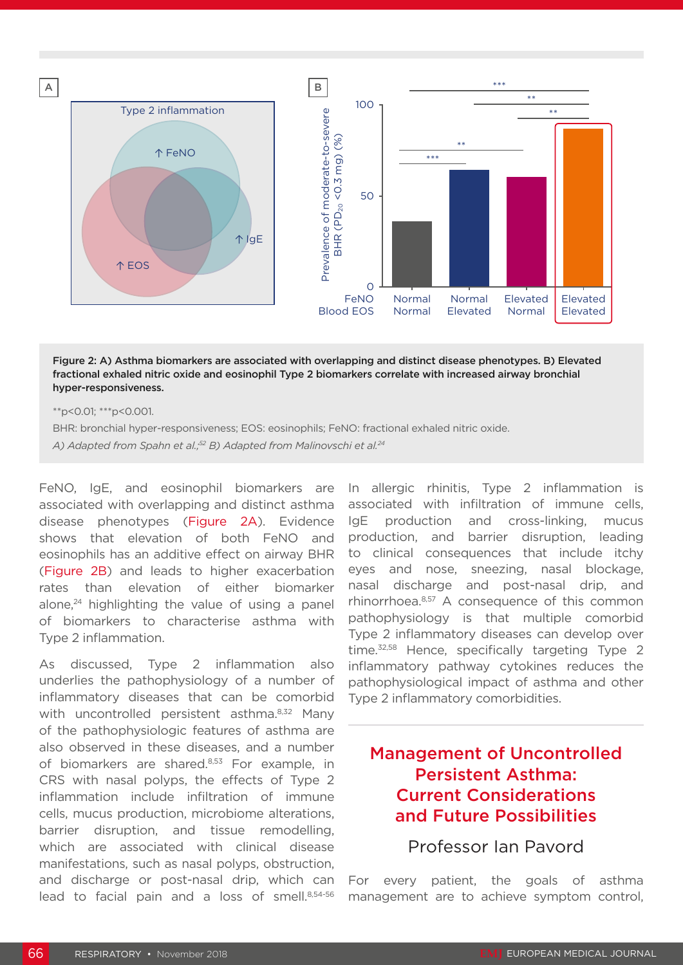

### Figure 2: A) Asthma biomarkers are associated with overlapping and distinct disease phenotypes. B) Elevated fractional exhaled nitric oxide and eosinophil Type 2 biomarkers correlate with increased airway bronchial hyper-responsiveness.

\*\*p<0.01; \*\*\*p<0.001.

BHR: bronchial hyper-responsiveness; EOS: eosinophils; FeNO: fractional exhaled nitric oxide.

*A) Adapted from Spahn et al.;52 B) Adapted from Malinovschi et al.24*

FeNO, IgE, and eosinophil biomarkers are associated with overlapping and distinct asthma disease phenotypes (Figure 2A). Evidence shows that elevation of both FeNO and eosinophils has an additive effect on airway BHR (Figure 2B) and leads to higher exacerbation rates than elevation of either biomarker alone, $24$  highlighting the value of using a panel of biomarkers to characterise asthma with Type 2 inflammation.

As discussed, Type 2 inflammation also underlies the pathophysiology of a number of inflammatory diseases that can be comorbid with uncontrolled persistent asthma.<sup>8,32</sup> Many of the pathophysiologic features of asthma are also observed in these diseases, and a number of biomarkers are shared.<sup>8,53</sup> For example, in CRS with nasal polyps, the effects of Type 2 inflammation include infiltration of immune cells, mucus production, microbiome alterations, barrier disruption, and tissue remodelling, which are associated with clinical disease manifestations, such as nasal polyps, obstruction, and discharge or post-nasal drip, which can lead to facial pain and a loss of smell.<sup>8,54-56</sup> In allergic rhinitis, Type 2 inflammation is associated with infiltration of immune cells, IgE production and cross-linking, mucus production, and barrier disruption, leading to clinical consequences that include itchy eyes and nose, sneezing, nasal blockage, nasal discharge and post-nasal drip, and rhinorrhoea.8,57 A consequence of this common pathophysiology is that multiple comorbid Type 2 inflammatory diseases can develop over time.<sup>32,58</sup> Hence, specifically targeting Type 2 inflammatory pathway cytokines reduces the pathophysiological impact of asthma and other Type 2 inflammatory comorbidities.

# Management of Uncontrolled Persistent Asthma: Current Considerations and Future Possibilities

Professor Ian Pavord

For every patient, the goals of asthma management are to achieve symptom control,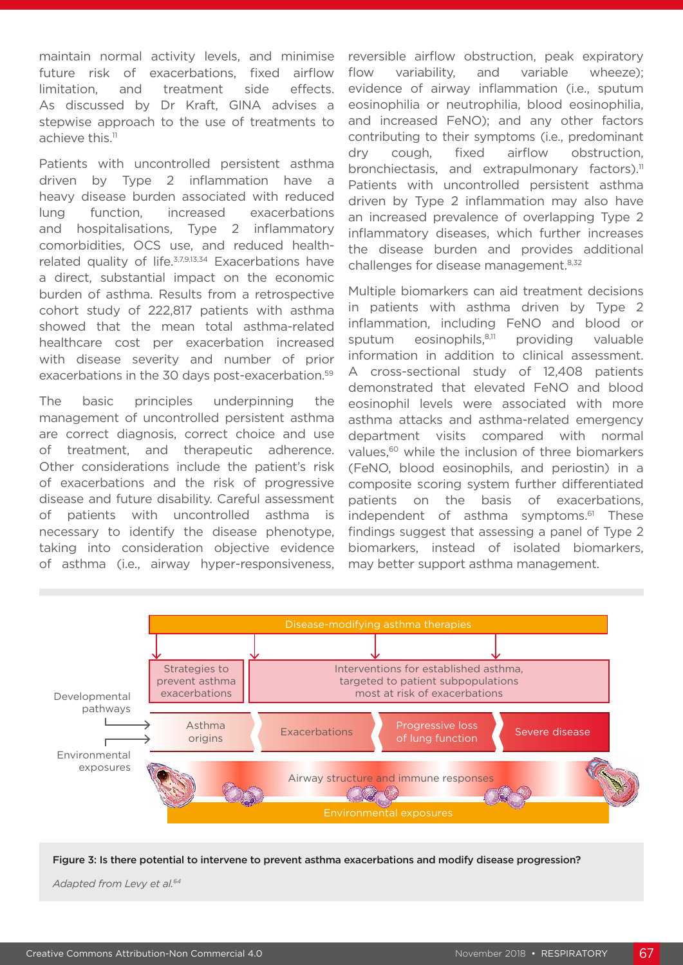maintain normal activity levels, and minimise future risk of exacerbations, fixed airflow limitation, and treatment side effects. As discussed by Dr Kraft, GINA advises a stepwise approach to the use of treatments to achieve this.<sup>11</sup>

Patients with uncontrolled persistent asthma driven by Type 2 inflammation have a heavy disease burden associated with reduced lung function, increased exacerbations and hospitalisations, Type 2 inflammatory comorbidities, OCS use, and reduced healthrelated quality of life.<sup>3,7,9,13,34</sup> Exacerbations have a direct, substantial impact on the economic burden of asthma. Results from a retrospective cohort study of 222,817 patients with asthma showed that the mean total asthma-related healthcare cost per exacerbation increased with disease severity and number of prior exacerbations in the 30 days post-exacerbation.<sup>59</sup>

The basic principles underpinning the management of uncontrolled persistent asthma are correct diagnosis, correct choice and use of treatment, and therapeutic adherence. Other considerations include the patient's risk of exacerbations and the risk of progressive disease and future disability. Careful assessment of patients with uncontrolled asthma is necessary to identify the disease phenotype, taking into consideration objective evidence of asthma (i.e., airway hyper-responsiveness,

reversible airflow obstruction, peak expiratory flow variability, and variable wheeze); evidence of airway inflammation (i.e., sputum eosinophilia or neutrophilia, blood eosinophilia, and increased FeNO); and any other factors contributing to their symptoms (i.e., predominant dry cough, fixed airflow obstruction, bronchiectasis, and extrapulmonary factors).<sup>11</sup> Patients with uncontrolled persistent asthma driven by Type 2 inflammation may also have an increased prevalence of overlapping Type 2 inflammatory diseases, which further increases the disease burden and provides additional challenges for disease management.<sup>8,32</sup>

Multiple biomarkers can aid treatment decisions in patients with asthma driven by Type 2 inflammation, including FeNO and blood or sputum eosinophils,<sup>8,11</sup> providing valuable information in addition to clinical assessment. A cross-sectional study of 12,408 patients demonstrated that elevated FeNO and blood eosinophil levels were associated with more asthma attacks and asthma-related emergency department visits compared with normal values,<sup>60</sup> while the inclusion of three biomarkers (FeNO, blood eosinophils, and periostin) in a composite scoring system further differentiated patients on the basis of exacerbations, independent of asthma symptoms.<sup>61</sup> These findings suggest that assessing a panel of Type 2 biomarkers, instead of isolated biomarkers, may better support asthma management.



#### Figure 3: Is there potential to intervene to prevent asthma exacerbations and modify disease progression?

*Adapted from Levy et al.64*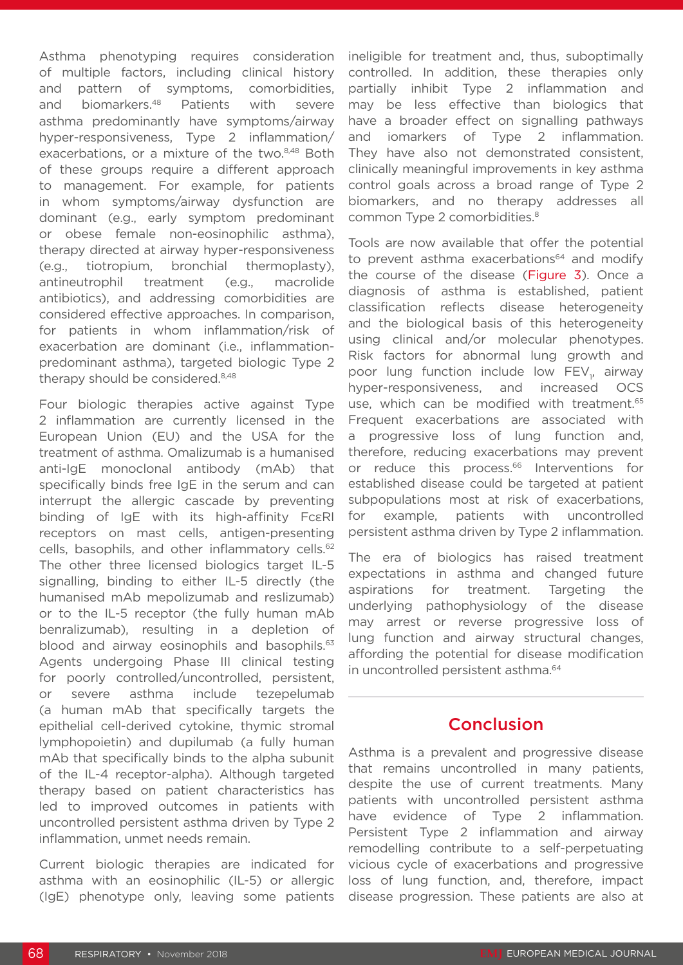Asthma phenotyping requires consideration of multiple factors, including clinical history and pattern of symptoms, comorbidities, and biomarkers.<sup>48</sup> Patients with severe asthma predominantly have symptoms/airway hyper-responsiveness, Type 2 inflammation/ exacerbations, or a mixture of the two.<sup>8,48</sup> Both of these groups require a different approach to management. For example, for patients in whom symptoms/airway dysfunction are dominant (e.g., early symptom predominant or obese female non-eosinophilic asthma), therapy directed at airway hyper-responsiveness (e.g., tiotropium, bronchial thermoplasty), antineutrophil treatment (e.g., macrolide antibiotics), and addressing comorbidities are considered effective approaches. In comparison, for patients in whom inflammation/risk of exacerbation are dominant (i.e., inflammationpredominant asthma), targeted biologic Type 2 therapy should be considered.<sup>8,48</sup>

Four biologic therapies active against Type 2 inflammation are currently licensed in the European Union (EU) and the USA for the treatment of asthma. Omalizumab is a humanised anti-IgE monoclonal antibody (mAb) that specifically binds free IgE in the serum and can interrupt the allergic cascade by preventing binding of IgE with its high-affinity FcεRI receptors on mast cells, antigen-presenting cells, basophils, and other inflammatory cells.<sup>62</sup> The other three licensed biologics target IL-5 signalling, binding to either IL-5 directly (the humanised mAb mepolizumab and reslizumab) or to the IL-5 receptor (the fully human mAb benralizumab), resulting in a depletion of blood and airway eosinophils and basophils.<sup>63</sup> Agents undergoing Phase III clinical testing for poorly controlled/uncontrolled, persistent, or severe asthma include tezepelumab (a human mAb that specifically targets the epithelial cell-derived cytokine, thymic stromal lymphopoietin) and dupilumab (a fully human mAb that specifically binds to the alpha subunit of the IL-4 receptor-alpha). Although targeted therapy based on patient characteristics has led to improved outcomes in patients with uncontrolled persistent asthma driven by Type 2 inflammation, unmet needs remain.

Current biologic therapies are indicated for asthma with an eosinophilic (IL-5) or allergic (IgE) phenotype only, leaving some patients ineligible for treatment and, thus, suboptimally controlled. In addition, these therapies only partially inhibit Type 2 inflammation and may be less effective than biologics that have a broader effect on signalling pathways and iomarkers of Type 2 inflammation. They have also not demonstrated consistent, clinically meaningful improvements in key asthma control goals across a broad range of Type 2 biomarkers, and no therapy addresses all common Type 2 comorbidities.8

Tools are now available that offer the potential to prevent asthma exacerbations<sup>64</sup> and modify the course of the disease (Figure 3). Once a diagnosis of asthma is established, patient classification reflects disease heterogeneity and the biological basis of this heterogeneity using clinical and/or molecular phenotypes. Risk factors for abnormal lung growth and poor lung function include low  $\mathsf{FEV}_{1}$ , airway hyper-responsiveness, and increased OCS use, which can be modified with treatment.<sup>65</sup> Frequent exacerbations are associated with a progressive loss of lung function and, therefore, reducing exacerbations may prevent or reduce this process.<sup>66</sup> Interventions for established disease could be targeted at patient subpopulations most at risk of exacerbations, for example, patients with uncontrolled persistent asthma driven by Type 2 inflammation.

The era of biologics has raised treatment expectations in asthma and changed future aspirations for treatment. Targeting the underlying pathophysiology of the disease may arrest or reverse progressive loss of lung function and airway structural changes, affording the potential for disease modification in uncontrolled persistent asthma.<sup>64</sup>

# Conclusion

Asthma is a prevalent and progressive disease that remains uncontrolled in many patients, despite the use of current treatments. Many patients with uncontrolled persistent asthma have evidence of Type 2 inflammation. Persistent Type 2 inflammation and airway remodelling contribute to a self-perpetuating vicious cycle of exacerbations and progressive loss of lung function, and, therefore, impact disease progression. These patients are also at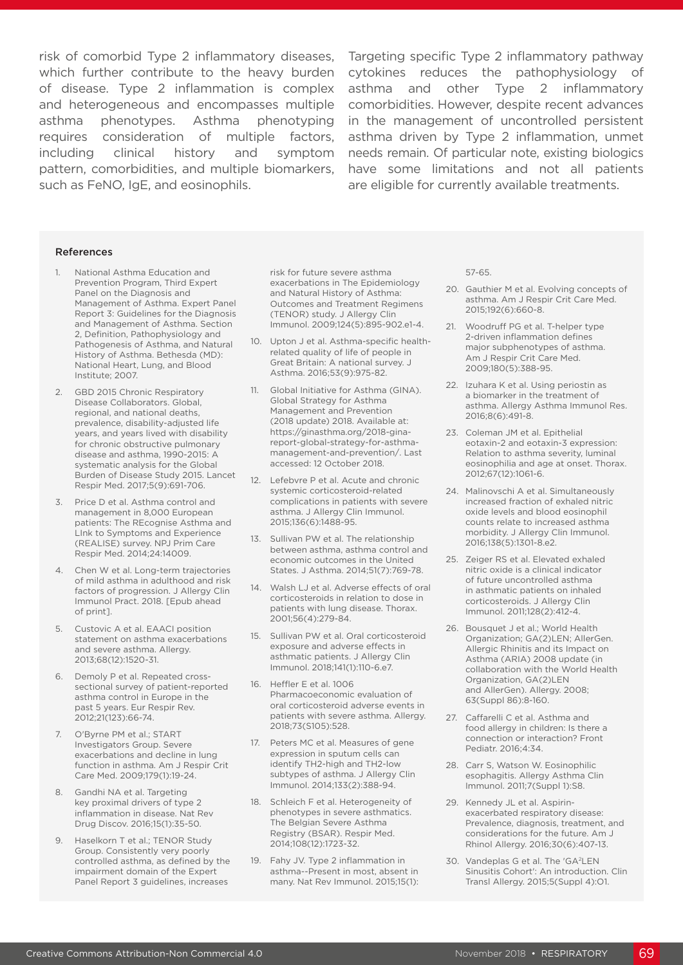risk of comorbid Type 2 inflammatory diseases, which further contribute to the heavy burden cytokines reduces the pathophysiology of of disease. Type 2 inflammation is complex and heterogeneous and encompasses multiple asthma phenotypes. Asthma phenotyping requires consideration of multiple factors, including clinical history and symptom pattern, comorbidities, and multiple biomarkers, such as FeNO, IgE, and eosinophils.

Targeting specific Type 2 inflammatory pathway asthma and other Type 2 inflammatory comorbidities. However, despite recent advances in the management of uncontrolled persistent asthma driven by Type 2 inflammation, unmet needs remain. Of particular note, existing biologics have some limitations and not all patients are eligible for currently available treatments.

#### References

- 1. National Asthma Education and Prevention Program, Third Expert Panel on the Diagnosis and Management of Asthma. Expert Panel Report 3: Guidelines for the Diagnosis and Management of Asthma. Section 2, Definition, Pathophysiology and Pathogenesis of Asthma, and Natural History of Asthma. Bethesda (MD): National Heart, Lung, and Blood Institute; 2007.
- 2. GBD 2015 Chronic Respiratory Disease Collaborators. Global, regional, and national deaths, prevalence, disability-adjusted life years, and years lived with disability for chronic obstructive pulmonary disease and asthma, 1990-2015: A systematic analysis for the Global Burden of Disease Study 2015. Lancet Respir Med. 2017;5(9):691-706.
- 3. Price D et al. Asthma control and management in 8,000 European patients: The REcognise Asthma and LInk to Symptoms and Experience (REALISE) survey. NPJ Prim Care Respir Med. 2014;24:14009.
- 4. Chen W et al. Long-term trajectories of mild asthma in adulthood and risk factors of progression. J Allergy Clin Immunol Pract. 2018. [Epub ahead of print].
- 5. Custovic A et al. EAACI position statement on asthma exacerbations and severe asthma. Allergy. 2013;68(12):1520-31.
- 6. Demoly P et al. Repeated crosssectional survey of patient-reported asthma control in Europe in the past 5 years. Eur Respir Rev. 2012;21(123):66-74.
- 7. O'Byrne PM et al.; START Investigators Group. Severe exacerbations and decline in lung function in asthma. Am J Respir Crit Care Med. 2009;179(1):19-24.
- 8. Gandhi NA et al. Targeting key proximal drivers of type 2 inflammation in disease. Nat Rev Drug Discov. 2016;15(1):35-50.
- 9. Haselkorn T et al.; TENOR Study Group. Consistently very poorly controlled asthma, as defined by the impairment domain of the Expert Panel Report 3 guidelines, increases

risk for future severe asthma exacerbations in The Epidemiology and Natural History of Asthma: Outcomes and Treatment Regimens (TENOR) study. J Allergy Clin Immunol. 2009;124(5):895-902.e1-4.

- 10. Upton J et al. Asthma-specific healthrelated quality of life of people in Great Britain: A national survey. J Asthma. 2016;53(9):975-82.
- 11. Global Initiative for Asthma (GINA). Global Strategy for Asthma Management and Prevention (2018 update) 2018. Available at: https://ginasthma.org/2018-ginareport-global-strategy-for-asthmamanagement-and-prevention/. Last accessed: 12 October 2018.
- 12. Lefebvre P et al. Acute and chronic systemic corticosteroid-related complications in patients with severe asthma. J Allergy Clin Immunol. 2015;136(6):1488-95.
- 13. Sullivan PW et al. The relationship between asthma, asthma control and economic outcomes in the United States. J Asthma. 2014;51(7):769-78.
- 14. Walsh LJ et al. Adverse effects of oral corticosteroids in relation to dose in patients with lung disease. Thorax. 2001;56(4):279-84.
- 15. Sullivan PW et al. Oral corticosteroid exposure and adverse effects in asthmatic patients. J Allergy Clin Immunol. 2018;141(1):110-6.e7.
- 16. Heffler E et al. 1006 Pharmacoeconomic evaluation of oral corticosteroid adverse events in patients with severe asthma. Allergy. 2018;73(S105):528.
- 17. Peters MC et al. Measures of gene expression in sputum cells can identify TH2-high and TH2-low subtypes of asthma. J Allergy Clin Immunol. 2014;133(2):388-94.
- 18. Schleich F et al. Heterogeneity of phenotypes in severe asthmatics. The Belgian Severe Asthma Registry (BSAR). Respir Med. 2014;108(12):1723-32.
- 19. Fahy JV. Type 2 inflammation in asthma--Present in most, absent in many. Nat Rev Immunol. 2015;15(1):

57-65.

- 20. Gauthier M et al. Evolving concepts of asthma. Am J Respir Crit Care Med. 2015;192(6):660-8.
- 21. Woodruff PG et al. T-helper type 2-driven inflammation defines major subphenotypes of asthma. Am J Respir Crit Care Med. 2009;180(5):388-95.
- 22. Izuhara K et al. Using periostin as a biomarker in the treatment of asthma. Allergy Asthma Immunol Res. 2016;8(6):491-8.
- 23. Coleman JM et al. Epithelial eotaxin-2 and eotaxin-3 expression: Relation to asthma severity, luminal eosinophilia and age at onset. Thorax. 2012;67(12):1061-6.
- 24. Malinovschi A et al. Simultaneously increased fraction of exhaled nitric oxide levels and blood eosinophil counts relate to increased asthma morbidity. J Allergy Clin Immunol. 2016;138(5):1301-8.e2.
- 25. Zeiger RS et al. Elevated exhaled nitric oxide is a clinical indicator of future uncontrolled asthma in asthmatic patients on inhaled corticosteroids. J Allergy Clin Immunol. 2011;128(2):412-4.
- 26. Bousquet J et al.; World Health Organization; GA(2)LEN; AllerGen. Allergic Rhinitis and its Impact on Asthma (ARIA) 2008 update (in collaboration with the World Health Organization, GA(2)LEN and AllerGen). Allergy. 2008; 63(Suppl 86):8-160.
- 27. Caffarelli C et al. Asthma and food allergy in children: Is there a connection or interaction? Front Pediatr. 2016;4:34.
- 28. Carr S, Watson W. Eosinophilic esophagitis. Allergy Asthma Clin Immunol. 2011;7(Suppl 1):S8.
- 29. Kennedy JL et al. Aspirinexacerbated respiratory disease: Prevalence, diagnosis, treatment, and considerations for the future. Am J Rhinol Allergy. 2016;30(6):407-13.
- 30. Vandeplas G et al. The 'GA2LEN Sinusitis Cohort': An introduction. Clin Transl Allergy. 2015;5(Suppl 4):O1.